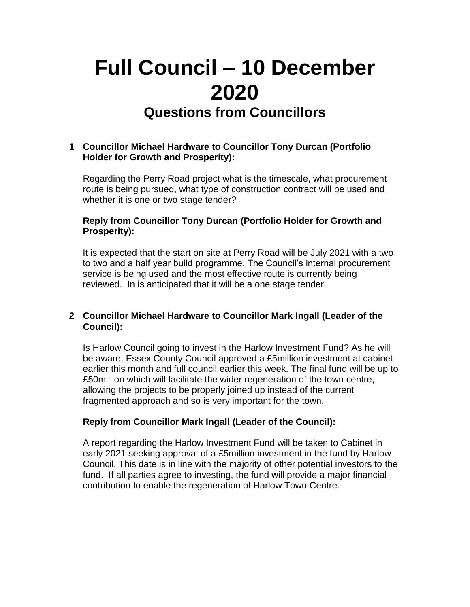# **Full Council – 10 December 2020 Questions from Councillors**

## **1 Councillor Michael Hardware to Councillor Tony Durcan (Portfolio Holder for Growth and Prosperity):**

Regarding the Perry Road project what is the timescale, what procurement route is being pursued, what type of construction contract will be used and whether it is one or two stage tender?

### **Reply from Councillor Tony Durcan (Portfolio Holder for Growth and Prosperity):**

It is expected that the start on site at Perry Road will be July 2021 with a two to two and a half year build programme. The Council's internal procurement service is being used and the most effective route is currently being reviewed. In is anticipated that it will be a one stage tender.

## **2 Councillor Michael Hardware to Councillor Mark Ingall (Leader of the Council):**

Is Harlow Council going to invest in the Harlow Investment Fund? As he will be aware, Essex County Council approved a £5million investment at cabinet earlier this month and full council earlier this week. The final fund will be up to £50million which will facilitate the wider regeneration of the town centre, allowing the projects to be properly joined up instead of the current fragmented approach and so is very important for the town.

#### **Reply from Councillor Mark Ingall (Leader of the Council):**

A report regarding the Harlow Investment Fund will be taken to Cabinet in early 2021 seeking approval of a £5million investment in the fund by Harlow Council. This date is in line with the majority of other potential investors to the fund. If all parties agree to investing, the fund will provide a major financial contribution to enable the regeneration of Harlow Town Centre.